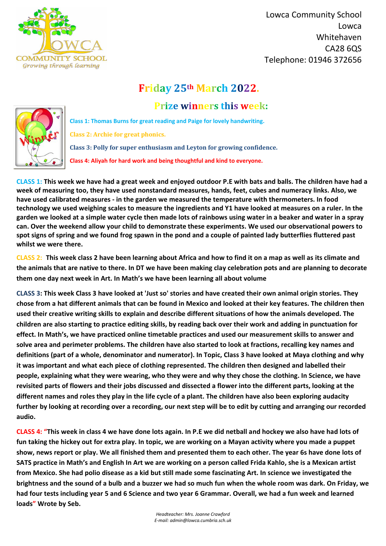

 Lowca Community School Lowca Whitehaven CA28 6QS Telephone: 01946 372656

*Headteacher: Mrs. Joanne Crawford E-mail: admin@lowca.cumbria.sch.uk*

## **Friday 25th March 2022.**

## **Prize winners this week:**



**Class 1: Thomas Burns for great reading and Paige for lovely handwriting. Class 2: Archie for great phonics. Class 3: Polly for super enthusiasm and Leyton for growing confidence. Class 4: Aliyah for hard work and being thoughtful and kind to everyone.**

**CLASS 1: This week we have had a great week and enjoyed outdoor P.E with bats and balls. The children have had a week of measuring too, they have used nonstandard measures, hands, feet, cubes and numeracy links. Also, we have used calibrated measures - in the garden we measured the temperature with thermometers. In food technology we used weighing scales to measure the ingredients and Y1 have looked at measures on a ruler. In the garden we looked at a simple water cycle then made lots of rainbows using water in a beaker and water in a spray can. Over the weekend allow your child to demonstrate these experiments. We used our observational powers to spot signs of spring and we found frog spawn in the pond and a couple of painted lady butterflies fluttered past whilst we were there.**

**CLASS 2: This week class 2 have been learning about Africa and how to find it on a map as well as its climate and the animals that are native to there. In DT we have been making clay celebration pots and are planning to decorate them one day next week in Art. In Math's we have been learning all about volume**

**CLASS 3: This week Class 3 have looked at 'Just so' stories and have created their own animal origin stories. They chose from a hat different animals that can be found in Mexico and looked at their key features. The children then used their creative writing skills to explain and describe different situations of how the animals developed. The children are also starting to practice editing skills, by reading back over their work and adding in punctuation for effect. In Math's, we have practiced online timetable practices and used our measurement skills to answer and solve area and perimeter problems. The children have also started to look at fractions, recalling key names and definitions (part of a whole, denominator and numerator). In Topic, Class 3 have looked at Maya clothing and why it was important and what each piece of clothing represented. The children then designed and labelled their people, explaining what they were wearing, who they were and why they chose the clothing. In Science, we have revisited parts of flowers and their jobs discussed and dissected a flower into the different parts, looking at the different names and roles they play in the life cycle of a plant. The children have also been exploring audacity further by looking at recording over a recording, our next step will be to edit by cutting and arranging our recorded** 

**CLASS 4: "This week in class 4 we have done lots again. In P.E we did netball and hockey we also have had lots of fun taking the hickey out for extra play. In topic, we are working on a Mayan activity where you made a puppet show, news report or play. We all finished them and presented them to each other. The year 6s have done lots of SATS practice in Math's and English In Art we are working on a person called Frida Kahlo, she is a Mexican artist from Mexico. She had polio disease as a kid but still made some fascinating Art. In science we investigated the brightness and the sound of a bulb and a buzzer we had so much fun when the whole room was dark. On Friday, we had four tests including year 5 and 6 Science and two year 6 Grammar. Overall, we had a fun week and learned loads" Wrote by Seb.**